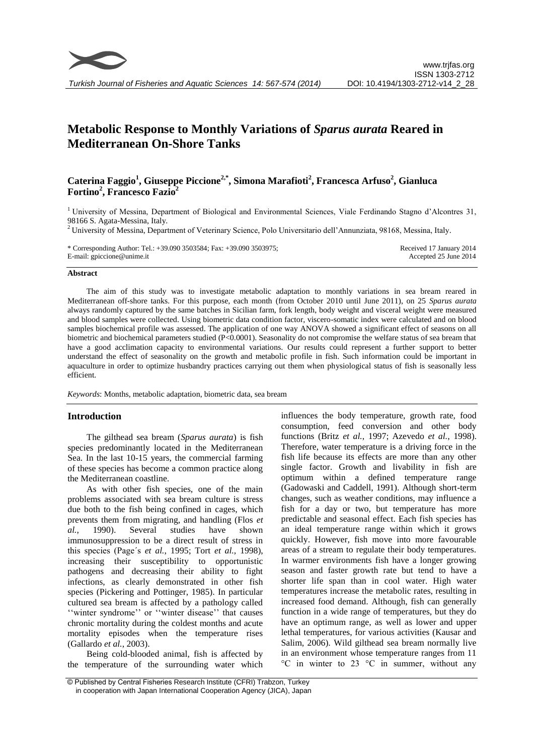

# **Metabolic Response to Monthly Variations of** *Sparus aurata* **Reared in Mediterranean On-Shore Tanks**

# **Caterina Faggio<sup>1</sup> , Giuseppe Piccione2,\*, Simona Marafioti<sup>2</sup> , Francesca Arfuso<sup>2</sup> , Gianluca Fortino<sup>2</sup> , Francesco Fazio<sup>2</sup>**

<sup>1</sup>University of Messina, Department of Biological and Environmental Sciences, Viale Ferdinando Stagno d'Alcontres 31, 98166 S. Agata-Messina, Italy.

<sup>2</sup> University of Messina, Department of Veterinary Science, Polo Universitario dell'Annunziata, 98168, Messina, Italy.

\* Corresponding Author: Tel.: +39.090 3503584; Fax: +39.090 3503975; E-mail: gpiccione@unime.it

Received 17 January 2014 Accepted 25 June 2014

#### **Abstract**

The aim of this study was to investigate metabolic adaptation to monthly variations in sea bream reared in Mediterranean off-shore tanks. For this purpose, each month (from October 2010 until June 2011), on 25 *Sparus aurata* always randomly captured by the same batches in Sicilian farm, fork length, body weight and visceral weight were measured and blood samples were collected. Using biometric data condition factor, viscero-somatic index were calculated and on blood samples biochemical profile was assessed. The application of one way ANOVA showed a significant effect of seasons on all biometric and biochemical parameters studied (P<0.0001). Seasonality do not compromise the welfare status of sea bream that have a good acclimation capacity to environmental variations. Our results could represent a further support to better understand the effect of seasonality on the growth and metabolic profile in fish. Such information could be important in aquaculture in order to optimize husbandry practices carrying out them when physiological status of fish is seasonally less efficient.

*Keywords*: Months, metabolic adaptation, biometric data, sea bream

# **Introduction**

The gilthead sea bream (*Sparus aurata*) is fish species predominantly located in the Mediterranean Sea. In the last 10-15 years, the commercial farming of these species has become a common practice along the Mediterranean coastline.

As with other fish species, one of the main problems associated with sea bream culture is stress due both to the fish being confined in cages, which prevents them from migrating, and handling (Flos *et al.*, 1990). Several studies have shown immunosuppression to be a direct result of stress in this species (Page´s *et al.*, 1995; Tort *et al.*, 1998), increasing their susceptibility to opportunistic pathogens and decreasing their ability to fight infections, as clearly demonstrated in other fish species (Pickering and Pottinger, 1985). In particular cultured sea bream is affected by a pathology called ''winter syndrome'' or ''winter disease'' that causes chronic mortality during the coldest months and acute mortality episodes when the temperature rises (Gallardo *et al.*, 2003).

Being cold-blooded animal, fish is affected by the temperature of the surrounding water which influences the body temperature, growth rate, food consumption, feed conversion and other body functions (Britz *et al.*, 1997; Azevedo *et al.*, 1998). Therefore, water temperature is a driving force in the fish life because its effects are more than any other single factor. Growth and livability in fish are optimum within a defined temperature range (Gadowaski and Caddell, 1991). Although short-term changes, such as weather conditions, may influence a fish for a day or two, but temperature has more predictable and seasonal effect. Each fish species has an ideal temperature range within which it grows quickly. However, fish move into more favourable areas of a stream to regulate their body temperatures. In warmer environments fish have a longer growing season and faster growth rate but tend to have a shorter life span than in cool water. High water temperatures increase the metabolic rates, resulting in increased food demand. Although, fish can generally function in a wide range of temperatures, but they do have an optimum range, as well as lower and upper lethal temperatures, for various activities (Kausar and Salim, 2006). Wild gilthead sea bream normally live in an environment whose temperature ranges from 11 °C in winter to 23 °C in summer, without any

<sup>©</sup> Published by Central Fisheries Research Institute (CFRI) Trabzon, Turkey in cooperation with Japan International Cooperation Agency (JICA), Japan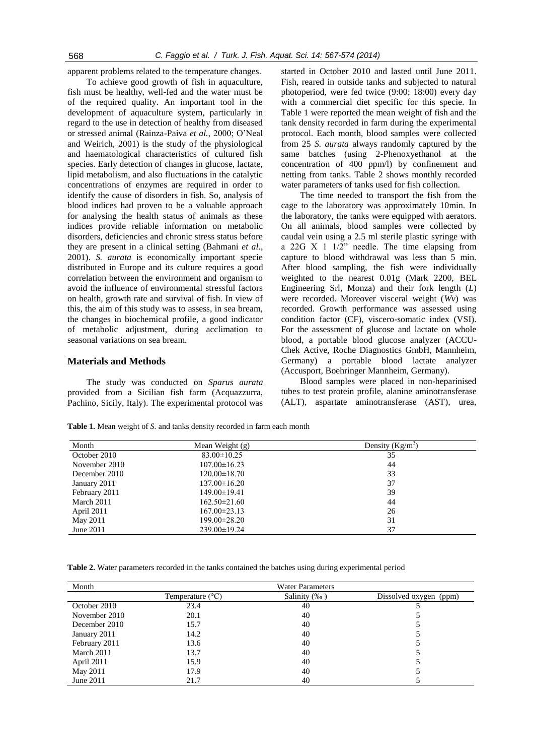apparent problems related to the temperature changes.

To achieve good growth of fish in aquaculture, fish must be healthy, well-fed and the water must be of the required quality. An important tool in the development of aquaculture system, particularly in regard to the use in detection of healthy from diseased or stressed animal (Rainza-Paiva *et al.*, 2000; O'Neal and Weirich, 2001) is the study of the physiological and haematological characteristics of cultured fish species. Early detection of changes in glucose, lactate, lipid metabolism, and also fluctuations in the catalytic concentrations of enzymes are required in order to identify the cause of disorders in fish. So, analysis of blood indices had proven to be a valuable approach for analysing the health status of animals as these indices provide reliable information on metabolic disorders, deficiencies and chronic stress status before they are present in a clinical setting (Bahmani *et al.*, 2001). *S. aurata* is economically important specie distributed in Europe and its culture requires a good correlation between the environment and organism to avoid the influence of environmental stressful factors on health, growth rate and survival of fish. In view of this, the aim of this study was to assess, in sea bream, the changes in biochemical profile, a good indicator of metabolic adjustment, during acclimation to seasonal variations on sea bream.

## **Materials and Methods**

The study was conducted on *Sparus aurata* provided from a Sicilian fish farm (Acquazzurra, Pachino, Sicily, Italy). The experimental protocol was

started in October 2010 and lasted until June 2011. Fish, reared in outside tanks and subjected to natural photoperiod, were fed twice (9:00; 18:00) every day with a commercial diet specific for this specie. In Table 1 were reported the mean weight of fish and the tank density recorded in farm during the experimental protocol. Each month, blood samples were collected from 25 *S. aurata* always randomly captured by the same batches (using 2-Phenoxyethanol at the concentration of 400 ppm/l) by confinement and netting from tanks. Table 2 shows monthly recorded water parameters of tanks used for fish collection.

The time needed to transport the fish from the cage to the laboratory was approximately 10min. In the laboratory, the tanks were equipped with aerators. On all animals, blood samples were collected by caudal vein using a 2.5 ml sterile plastic syringe with a 22G X 1 1/2" needle. The time elapsing from capture to blood withdrawal was less than 5 min. After blood sampling, the fish were individually weighted to the nearest 0.01g (Mark 2200, BEL Engineering Srl, Monza) and their fork length (*L*) were recorded. Moreover visceral weight (*Wv*) was recorded. Growth performance was assessed using condition factor (CF), viscero-somatic index (VSI). For the assessment of glucose and lactate on whole blood, a portable blood glucose analyzer (ACCU-Chek Active, Roche Diagnostics GmbH, Mannheim, Germany) a portable blood lactate analyzer (Accusport, Boehringer Mannheim, Germany).

Blood samples were placed in non-heparinised tubes to test protein profile, alanine aminotransferase (ALT), aspartate aminotransferase (AST), urea,

**Table 1.** Mean weight of *S.* and tanks density recorded in farm each month

| Month         | Mean Weight $(g)$  | Density $(Kg/m^3)$ |
|---------------|--------------------|--------------------|
| October 2010  | $83.00 \pm 10.25$  | 35                 |
| November 2010 | $107.00 \pm 16.23$ | 44                 |
| December 2010 | 120.00±18.70       | 33                 |
| January 2011  | $137.00 \pm 16.20$ | 37                 |
| February 2011 | 149.00±19.41       | 39                 |
| March 2011    | $162.50 \pm 21.60$ | 44                 |
| April 2011    | $167.00 \pm 23.13$ | 26                 |
| May 2011      | 199.00±28.20       | 31                 |
| June $2011$   | $239.00 \pm 19.24$ | 37                 |

**Table 2.** Water parameters recorded in the tanks contained the batches using during experimental period

| Month         | <b>Water Parameters</b>   |              |                        |
|---------------|---------------------------|--------------|------------------------|
|               | Temperature $(^{\circ}C)$ | Salinity (‰) | Dissolved oxygen (ppm) |
| October 2010  | 23.4                      | 40           |                        |
| November 2010 | 20.1                      | 40           |                        |
| December 2010 | 15.7                      | 40           |                        |
| January 2011  | 14.2                      | 40           |                        |
| February 2011 | 13.6                      | 40           |                        |
| March 2011    | 13.7                      | 40           |                        |
| April 2011    | 15.9                      | 40           |                        |
| May 2011      | 17.9                      | 40           |                        |
| June 2011     | 21.7                      | 40           |                        |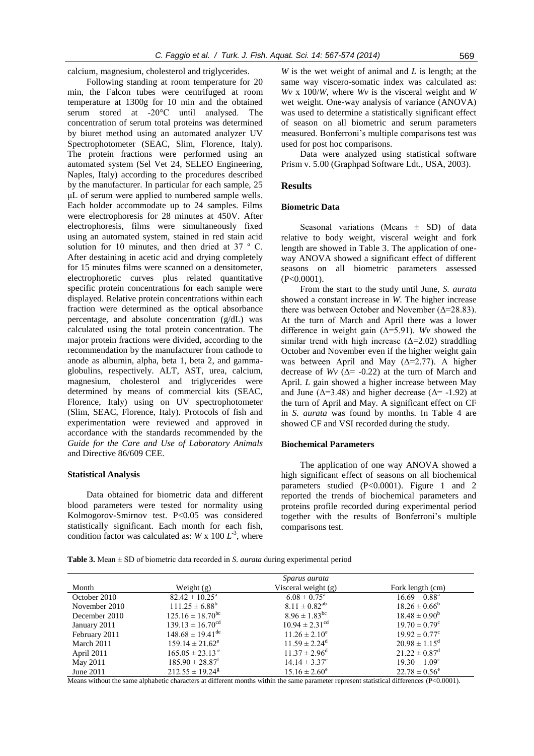calcium, magnesium, cholesterol and triglycerides.

Following standing at room temperature for 20 min, the Falcon tubes were centrifuged at room temperature at 1300g for 10 min and the obtained serum stored at -20°C until analysed. The concentration of serum total proteins was determined by biuret method using an automated analyzer UV Spectrophotometer (SEAC, Slim, Florence, Italy). The protein fractions were performed using an automated system (Sel Vet 24, SELEO Engineering, Naples, Italy) according to the procedures described by the manufacturer. In particular for each sample, 25 μL of serum were applied to numbered sample wells. Each holder accommodate up to 24 samples. Films were electrophoresis for 28 minutes at 450V. After electrophoresis, films were simultaneously fixed using an automated system, stained in red stain acid solution for 10 minutes, and then dried at 37 °C. After destaining in acetic acid and drying completely for 15 minutes films were scanned on a densitometer, electrophoretic curves plus related quantitative specific protein concentrations for each sample were displayed. Relative protein concentrations within each fraction were determined as the optical absorbance percentage, and absolute concentration (g/dL) was calculated using the total protein concentration. The major protein fractions were divided, according to the recommendation by the manufacturer from cathode to anode as albumin, alpha, beta 1, beta 2, and gammaglobulins, respectively. ALT, AST, urea, calcium, magnesium, cholesterol and triglycerides were determined by means of commercial kits (SEAC, Florence, Italy) using on UV spectrophotometer (Slim, SEAC, Florence, Italy). Protocols of fish and experimentation were reviewed and approved in accordance with the standards recommended by the *Guide for the Care and Use of Laboratory Animals* and Directive 86/609 CEE.

#### **Statistical Analysis**

Data obtained for biometric data and different blood parameters were tested for normality using Kolmogorov-Smirnov test. P<0.05 was considered statistically significant. Each month for each fish, condition factor was calculated as:  $W \times 100 L^3$ , where *W* is the wet weight of animal and *L* is length; at the same way viscero-somatic index was calculated as: *Wv* x 100/*W*, where *Wv* is the visceral weight and *W* wet weight. One-way analysis of variance (ANOVA) was used to determine a statistically significant effect of season on all biometric and serum parameters measured. Bonferroni's multiple comparisons test was used for post hoc comparisons.

Data were analyzed using statistical software Prism v. 5.00 (Graphpad Software Ldt., USA, 2003).

#### **Results**

#### **Biometric Data**

Seasonal variations (Means  $\pm$  SD) of data relative to body weight, visceral weight and fork length are showed in Table 3. The application of oneway ANOVA showed a significant effect of different seasons on all biometric parameters assessed (P<0.0001).

From the start to the study until June, *S. aurata* showed a constant increase in *W*. The higher increase there was between October and November (Δ=28.83). At the turn of March and April there was a lower difference in weight gain (Δ=5.91). *Wv* showed the similar trend with high increase  $(\Delta=2.02)$  straddling October and November even if the higher weight gain was between April and May  $(Δ=2.77)$ . A higher decrease of  $Wv$  ( $\Delta$ = -0.22) at the turn of March and April. *L* gain showed a higher increase between May and June ( $\Delta$ =3.48) and higher decrease ( $\Delta$ = -1.92) at the turn of April and May. A significant effect on CF in *S. aurata* was found by months. In Table 4 are showed CF and VSI recorded during the study.

#### **Biochemical Parameters**

The application of one way ANOVA showed a high significant effect of seasons on all biochemical parameters studied (P<0.0001). Figure 1 and 2 reported the trends of biochemical parameters and proteins profile recorded during experimental period together with the results of Bonferroni's multiple comparisons test.

**Table 3.** Mean ± SD of biometric data recorded in *S. aurata* during experimental period

|               |                                 | Sparus aurata                 |                               |
|---------------|---------------------------------|-------------------------------|-------------------------------|
| Month         | Weight $(g)$                    | Visceral weight $(g)$         | Fork length (cm)              |
| October 2010  | $82.42 \pm 10.25^{\circ}$       | $6.08 \pm 0.75^{\circ}$       | $16.69 \pm 0.88^{\text{a}}$   |
| November 2010 | $111.25 \pm 6.88^b$             | $8.11 \pm 0.82^{ab}$          | $18.26 \pm 0.66^b$            |
| December 2010 | $125.16 \pm 18.70^{\rm bc}$     | $8.96 \pm 1.83$ <sup>bc</sup> | $18.48 \pm 0.90^b$            |
| January 2011  | $139.13 \pm 16.70^{\text{cd}}$  | $10.94 \pm 2.31^{\text{cd}}$  | $19.70 \pm 0.79^{\circ}$      |
| February 2011 | $148.68 \pm 19.41^{\text{de}}$  | $11.26 \pm 2.10^e$            | $19.92 \pm 0.77$ °            |
| March 2011    | $159.14 \pm 21.62^e$            | $11.59 \pm 2.24^{\circ}$      | $20.98 \pm 1.15^{\circ}$      |
| April 2011    | $165.05 \pm 23.13$ <sup>e</sup> | $11.37 \pm 2.96^{\text{d}}$   | $21.22 \pm 0.87$ <sup>d</sup> |
| May 2011      | $185.90 \pm 28.87$ <sup>f</sup> | $14.14 \pm 3.37^e$            | $19.30 \pm 1.09^{\circ}$      |
| June 2011     | $212.55 \pm 19.24$ <sup>g</sup> | $15.16 \pm 2.60^e$            | $22.78 \pm 0.56^{\circ}$      |

Means without the same alphabetic characters at different months within the same parameter represent statistical differences (P<0.0001).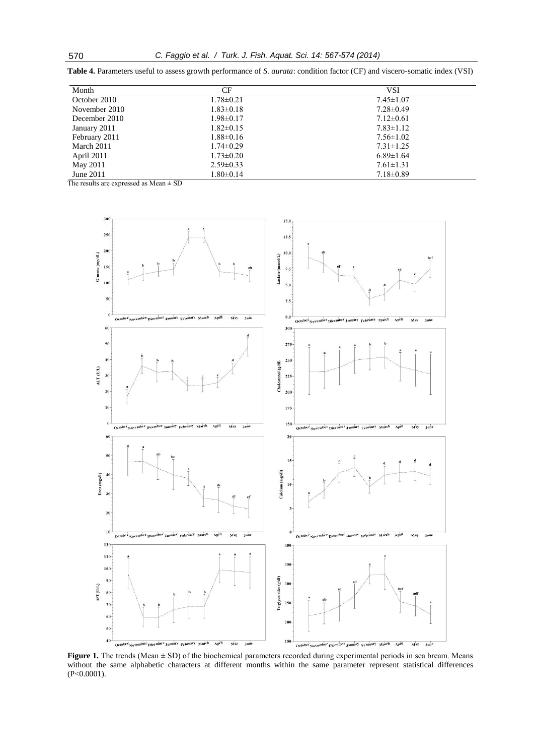| Month         | CF              | VSI             |
|---------------|-----------------|-----------------|
| October 2010  | $1.78 \pm 0.21$ | $7.45 \pm 1.07$ |
| November 2010 | $1.83 \pm 0.18$ | $7.28 \pm 0.49$ |
| December 2010 | $1.98 \pm 0.17$ | $7.12 \pm 0.61$ |
| January 2011  | $1.82 \pm 0.15$ | $7.83 \pm 1.12$ |
| February 2011 | $1.88 \pm 0.16$ | $7.56 \pm 1.02$ |
| March 2011    | $1.74 \pm 0.29$ | $7.31 \pm 1.25$ |
| April 2011    | $1.73 \pm 0.20$ | $6.89 \pm 1.64$ |
| May 2011      | $2.59\pm0.33$   | $7.61 \pm 1.31$ |

June 2011  $1.80 \pm 0.14$   $7.18 \pm 0.89$ 

**Table 4.** Parameters useful to assess growth performance of *S. aurata*: condition factor (CF) and viscero-somatic index (VSI)

The results are expressed as  $Mean \pm SD$ 



Figure 1. The trends (Mean  $\pm$  SD) of the biochemical parameters recorded during experimental periods in sea bream. Means without the same alphabetic characters at different months within the same parameter represent statistical differences (P<0.0001).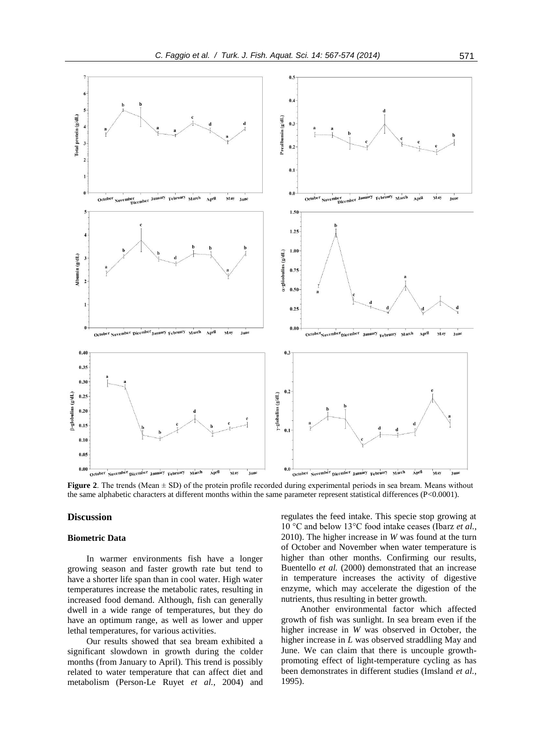

**Figure 2**. The trends (Mean  $\pm$  SD) of the protein profile recorded during experimental periods in sea bream. Means without the same alphabetic characters at different months within the same parameter represent statistical differences (P<0.0001).

# **Discussion**

#### **Biometric Data**

In warmer environments fish have a longer growing season and faster growth rate but tend to have a shorter life span than in cool water. High water temperatures increase the metabolic rates, resulting in increased food demand. Although, fish can generally dwell in a wide range of temperatures, but they do have an optimum range, as well as lower and upper lethal temperatures, for various activities.

Our results showed that sea bream exhibited a significant slowdown in growth during the colder months (from January to April). This trend is possibly related to water temperature that can affect diet and metabolism (Person-Le Ruyet *et al.*, 2004) and regulates the feed intake. This specie stop growing at 10 °C and below 13°C food intake ceases (Ibarz *et al.*, 2010). The higher increase in *W* was found at the turn of October and November when water temperature is higher than other months. Confirming our results, Buentello *et al.* (2000) demonstrated that an increase in temperature increases the activity of digestive enzyme, which may accelerate the digestion of the nutrients, thus resulting in better growth.

Another environmental factor which affected growth of fish was sunlight. In sea bream even if the higher increase in *W* was observed in October, the higher increase in *L* was observed straddling May and June. We can claim that there is uncouple growthpromoting effect of light-temperature cycling as has been demonstrates in different studies (Imsland *et al.*, 1995).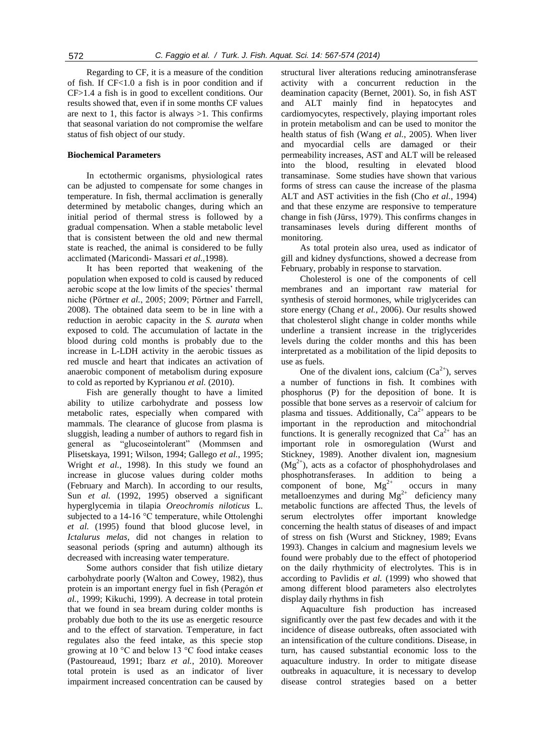Regarding to CF, it is a measure of the condition of fish. If CF<1.0 a fish is in poor condition and if CF>1.4 a fish is in good to excellent conditions. Our results showed that, even if in some months CF values are next to 1, this factor is always  $>1$ . This confirms that seasonal variation do not compromise the welfare status of fish object of our study.

### **Biochemical Parameters**

In ectothermic organisms, physiological rates can be adjusted to compensate for some changes in temperature. In fish, thermal acclimation is generally determined by metabolic changes, during which an initial period of thermal stress is followed by a gradual compensation. When a stable metabolic level that is consistent between the old and new thermal state is reached, the animal is considered to be fully acclimated (Maricondi- Massari *et al.*,1998).

It has been reported that weakening of the population when exposed to cold is caused by reduced aerobic scope at the low limits of the species' thermal niche (Pörtner *et al.*, 2005; 2009; Pörtner and Farrell, 2008). The obtained data seem to be in line with a reduction in aerobic capacity in the *S. aurata* when exposed to cold. The accumulation of lactate in the blood during cold months is probably due to the increase in L-LDH activity in the aerobic tissues as red muscle and heart that indicates an activation of anaerobic component of metabolism during exposure to cold as reported by Kyprianou *et al.* (2010).

Fish are generally thought to have a limited ability to utilize carbohydrate and possess low metabolic rates, especially when compared with mammals. The clearance of glucose from plasma is sluggish, leading a number of authors to regard fish in general as "glucoseintolerant" (Mommsen and Plisetskaya, 1991; Wilson, 1994; Gallego *et al.*, 1995; Wright *et al.*, 1998). In this study we found an increase in glucose values during colder moths (February and March). In according to our results, Sun *et al.* (1992, 1995) observed a significant hyperglycemia in tilapia *Oreochromis niloticus* L. subjected to a 14-16 °C temperature, while Ottolenghi *et al.* (1995) found that blood glucose level, in *Ictalurus melas,* did not changes in relation to seasonal periods (spring and autumn) although its decreased with increasing water temperature.

Some authors consider that fish utilize dietary carbohydrate poorly (Walton and Cowey, 1982), thus protein is an important energy fuel in fish (Peragón *et al.*, 1999; Kikuchi, 1999). A decrease in total protein that we found in sea bream during colder months is probably due both to the its use as energetic resource and to the effect of starvation. Temperature, in fact regulates also the feed intake, as this specie stop growing at 10 °C and below 13 °C food intake ceases (Pastoureaud, 1991; Ibarz *et al.*, 2010). Moreover total protein is used as an indicator of liver impairment increased concentration can be caused by

structural liver alterations reducing aminotransferase activity with a concurrent reduction in the deamination capacity (Bernet, 2001). So, in fish AST and ALT mainly find in hepatocytes and cardiomyocytes, respectively, playing important roles in protein metabolism and can be used to monitor the health status of fish (Wang *et al.*, 2005). When liver and myocardial cells are damaged or their permeability increases, AST and ALT will be released into the blood, resulting in elevated blood transaminase. Some studies have shown that various forms of stress can cause the increase of the plasma ALT and AST activities in the fish (Cho *et al.*, 1994) and that these enzyme are responsive to temperature change in fish (Jürss, 1979). This confirms changes in transaminases levels during different months of monitoring.

As total protein also urea, used as indicator of gill and kidney dysfunctions, showed a decrease from February, probably in response to starvation.

Cholesterol is one of the components of cell membranes and an important raw material for synthesis of steroid hormones, while triglycerides can store energy (Chang *et al.*, 2006). Our results showed that cholesterol slight change in colder months while underline a transient increase in the triglycerides levels during the colder months and this has been interpretated as a mobilitation of the lipid deposits to use as fuels.

One of the divalent ions, calcium  $(Ca^{2+})$ , serves a number of functions in fish. It combines with phosphorus (P) for the deposition of bone. It is possible that bone serves as a reservoir of calcium for plasma and tissues. Additionally,  $Ca<sup>2+</sup>$  appears to be important in the reproduction and mitochondrial functions. It is generally recognized that  $Ca^{2+}$  has an important role in osmoregulation (Wurst and Stickney, 1989). Another divalent ion, magnesium  $(Mg<sup>2+</sup>)$ , acts as a cofactor of phosphohydrolases and phosphotransferases. In addition to being a component of bone,  $Mg^{2+}$  occurs in many metalloenzymes and during  $Mg^{2+}$  deficiency many metabolic functions are affected Thus, the levels of serum electrolytes offer important knowledge concerning the health status of diseases of and impact of stress on fish (Wurst and Stickney, 1989; Evans 1993). Changes in calcium and magnesium levels we found were probably due to the effect of photoperiod on the daily rhythmicity of electrolytes. This is in according to Pavlidis *et al.* (1999) who showed that among different blood parameters also electrolytes display daily rhythms in fish

Aquaculture fish production has increased significantly over the past few decades and with it the incidence of disease outbreaks, often associated with an intensification of the culture conditions. Disease, in turn, has caused substantial economic loss to the aquaculture industry. In order to mitigate disease outbreaks in aquaculture, it is necessary to develop disease control strategies based on a better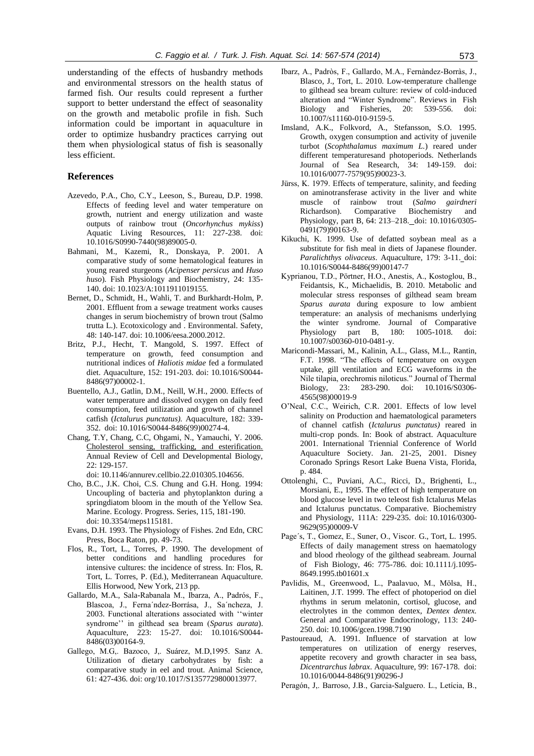understanding of the effects of husbandry methods and environmental stressors on the health status of farmed fish. Our results could represent a further support to better understand the effect of seasonality on the growth and metabolic profile in fish. Such information could be important in aquaculture in order to optimize husbandry practices carrying out them when physiological status of fish is seasonally less efficient.

## **References**

- Azevedo, P.A., Cho, C.Y., Leeson, S., Bureau, D.P. 1998. Effects of feeding level and water temperature on growth, nutrient and energy utilization and waste outputs of rainbow trout (*Oncorhynchus mykiss*) Aquatic Living Resources, 11: 227-238. doi: 10.1016/S0990-7440(98)89005-0.
- Bahmani, M., Kazemi, R., Donskaya, P. 2001. A comparative study of some hematological features in young reared sturgeons (*Acipenser persicus* and *Huso huso*). Fish Physiology and Biochemistry, 24: 135- 140. doi: 10.1023/A:1011911019155.
- Bernet, D., Schmidt, H., Wahli, T. and Burkhardt-Holm, P. 2001. Effluent from a sewage treatment works causes changes in serum biochemistry of brown trout (Salmo trutta L.). Ecotoxicology and . Environmental. Safety, 48: 140-147. doi: 10.1006/eesa.2000.2012.
- Britz, P.J., Hecht, T. Mangold, S. 1997. Effect of temperature on growth, feed consumption and nutritional indices of *Haliotis midae* fed a formulated diet. Aquaculture, 152: 191-203. doi: 10.1016/S0044- 8486(97)00002-1.
- Buentello, A.J., Gatlin, D.M., Neill, W.H., 2000. Effects of water temperature and dissolved oxygen on daily feed consumption, feed utilization and growth of channel catfish (*Ictalurus punctatus).* Aquaculture, 182: 339- 352. doi: 10.1016/S0044-8486(99)00274-4.
- Chang, T.Y, Chang, C.C, Ohgami, N., Yamauchi, Y. 2006. [Cholesterol sensing, trafficking, and esterification.](http://www.ncbi.nlm.nih.gov/pubmed/16753029) Annual Review of Cell and Developmental Biology, 22: 129-157.

doi: 10.1146/annurev.cellbio.22.010305.104656.

- Cho, B.C., J.K. Choi, C.S. Chung and G.H. Hong. 1994: Uncoupling of bacteria and phytoplankton during a springdiatom bloom in the mouth of the Yellow Sea. Marine. Ecology. Progress. Series, 115, 181-190. doi: 10.3354/meps115181.
- Evans, D.H. 1993. The Physiology of Fishes. 2nd Edn, CRC Press, Boca Raton, pp. 49-73.
- Flos, R., Tort, L., Torres, P. 1990. The development of better conditions and handling procedures for intensive cultures: the incidence of stress. In: Flos, R. Tort, L. Torres, P. (Ed.), Mediterranean Aquaculture. Ellis Horwood, New York, 213 pp.
- Gallardo, M.A., Sala-Rabanala M., Ibarza, A., Padrós, F., Blascoa, J., Ferna´ndez-Borrása, J., Sa´ncheza, J. 2003. Functional alterations associated with ''winter syndrome'' in gilthead sea bream (*Sparus aurata*). Aquaculture, 223: 15-27. doi: 10.1016/S0044- 8486(03)00164-9.
- Gallego, M.G,. Bazoco, J,. Suárez, M.D,1995. Sanz A. Utilization of dietary carbohydrates by fish: a comparative study in eel and trout. Animal Science, 61: 427-436. doi: org/10.1017/S1357729800013977.
- Ibarz, A., Padròs, F., Gallardo, M.A., Fernàndez-Borràs, J., Blasco, J., Tort, L. 2010. Low-temperature challenge to gilthead sea bream culture: review of cold-induced alteration and "Winter Syndrome". Reviews in Fish Biology and Fisheries, 20: 539-556. doi: 10.1007/s11160-010-9159-5.
- Imsland, A.K., Folkvord, A., Stefansson, S.O. 1995. Growth, oxygen consumption and activity of juvenile turbot (*Scophthalamus maximum L.*) reared under different temperaturesand photoperiods. Netherlands Journal of Sea Research, 34: 149-159. doi: 10.1016/0077-7579(95)90023-3.
- Jürss, K. 1979. Effects of temperature, salinity, and feeding on aminotransferase activity in the liver and white muscle of rainbow trout (*Salmo gairdneri* Richardson). Comparative Biochemistry and Physiology, part B, 64: 213–218. doi: 10.1016/0305- 0491(79)90163-9.
- Kikuchi, K. 1999. Use of defatted soybean meal as a substitute for fish meal in diets of Japanese flounder. *Paralichthys olivaceus*. Aquaculture, 179: 3-11. doi: 10.1016/S0044-8486(99)00147-7
- Kyprianou, T.D., Pörtner, H.O., Anestis, A., Kostoglou, B., Feidantsis, K., Michaelidis, B. 2010. Metabolic and molecular stress responses of gilthead seam bream *Sparus aurata* during exposure to low ambient temperature: an analysis of mechanisms underlying the winter syndrome. Journal of Comparative Physiology part B, 180: 1005-1018. doi: 10.1007/s00360-010-0481-y.
- Maricondi-Massari, M., Kalinin, A.L., Glass, M.L., Rantin, F.T. 1998. "The effects of temperature on oxygen uptake, gill ventilation and ECG waveforms in the Nile tilapia, orechromis niloticus." Journal of Thermal Biology, 23: 283-290. doi: 10.1016/S0306- 4565(98)00019-9
- O'Neal, C.C., Weirich, C.R. 2001. Effects of low level salinity on Production and haematological parameters of channel catfish (*Ictalurus punctatus)* reared in multi-crop ponds. In: Book of abstract. Aquaculture 2001. International Triennial Conference of World Aquaculture Society. Jan. 21-25, 2001. Disney Coronado Springs Resort Lake Buena Vista, Florida, p. 484.
- Ottolenghi, C., Puviani, A.C., Ricci, D., Brighenti, L., Morsiani, E., 1995. The effect of high temperature on blood glucose level in two teleost fish Ictalurus Melas and Ictalurus punctatus. Comparative. Biochemistry and Physiology, 111A: 229-235. doi: 10.1016/0300- 9629(95)00009-V
- Page´s, T., Gomez, E., Suner, O., Viscor. G., Tort, L. 1995. Effects of daily management stress on haematology and blood rheology of the gilthead seabream. Journal of Fish Biology, 46: 775-786. doi: 10.1111/j.1095- 8649.1995.tb01601.x
- Pavlidis, M., Greenwood, L., Paalavuo, M., Mölsa, H., Laitinen, J.T. 1999. The effect of photoperiod on diel rhythms in serum melatonin, cortisol, glucose, and electrolytes in the common dentex, *Dentex dentex.* General and Comparative Endocrinology, 113: 240- 250. doi: 10.1006/gcen.1998.7190
- Pastoureaud, A. 1991. Influence of starvation at low temperatures on utilization of energy reserves, appetite recovery and growth character in sea bass, *Dicentrarchus labrax*. Aquaculture, 99: 167-178. doi: 10.1016/0044-8486(91)90296-J
- Peragón, J,. Barroso, J.B., Garcia-Salguero. L., Letícia, B.,